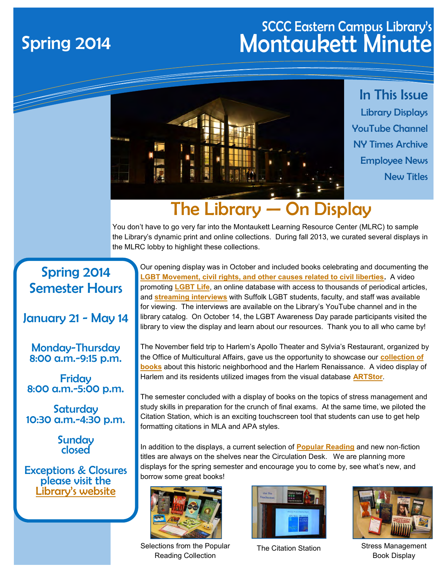### SCCC Eastern Campus Library's Spring 2014 Montaukett Minute



### The Library — On Display

You don't have to go very far into the Montaukett Learning Resource Center (MLRC) to sample the Library's dynamic print and online collections. During fall 2013, we curated several displays in the MLRC lobby to highlight these collections.

### Spring 2014 Semester Hours

#### January 21 - May 14

Monday-Thursday 8:00 a.m.-9:15 p.m.

**Fridav** 8:00 a.m.-5:00 p.m.

**Saturday** 10:30 a.m.-4:30 p.m.

> **Sunday** closed

Exceptions & Closures please visit the [L](http://www.sunysuffolk.edu/Libraries/eastern_hours.asp)[ibrary's website](http://www.sunysuffolk.edu/Libraries/eastern_hours.asp)

Our opening display was in October and included books celebrating and documenting the **[LGBT Movement, civil rights, and other causes related to civil liberties.](http://suf.sunyconnect.suny.edu:4860/F/?func=find-a&find_code=WRD&request=gay&request_op=OR&find_code=WRD&request=lesbian%3F&request_op=OR&find_code=WRD&request=homosex%3F&adjacent=N&x=45&y=3&filter_code_7=WSL&filter_request_7=SUFMN&filter_code_2=WYR&filte)** A video promoting **[LGBT Life](http://lib1.lib.sunysuffolk.edu/login?url=http://search.ebscohost.com/login.aspx?authtype=ip,uid&profile=ehost&defaultdb=qth)**, an online database with access to thousands of periodical articles, and **[streaming interviews](http://suf.sunyconnect.suny.edu:4860/F/?func=find-a&find_code=WSU&request=homosexuality+personal+narratives&request_op=AND&find_code=WRD&request=&request_op=AND&find_code=WRD&request=&adjacent=N&x=0&y=0&filter_code_7=WSL&filter_request_7=&filter_code_2=WYR)** with Suffolk LGBT students, faculty, and staff was available for viewing. The interviews are available on the Library's YouTube channel and in the library catalog. On October 14, the LGBT Awareness Day parade participants visited the library to view the display and learn about our resources. Thank you to all who came by!

The November field trip to Harlem's Apollo Theater and Sylvia's Restaurant, organized by the Office of Multicultural Affairs, gave us the opportunity to showcase our **[collection of](http://suf.sunyconnect.suny.edu:4860/F/?func=find-a&find_code=WSU&request=harlem&request_op=AND&find_code=WRD&request=&request_op=AND&find_code=WRD&request=&adjacent=N&filter_code_7=WSL&filter_request_7=&filter_code_2=WYR&filter_request_2=&filter_code_3=WY)  [books](http://suf.sunyconnect.suny.edu:4860/F/?func=find-a&find_code=WSU&request=harlem&request_op=AND&find_code=WRD&request=&request_op=AND&find_code=WRD&request=&adjacent=N&filter_code_7=WSL&filter_request_7=&filter_code_2=WYR&filter_request_2=&filter_code_3=WY)** about this historic neighborhood and the Harlem Renaissance. A video display of Harlem and its residents utilized images from the visual database **[ARTStor](http://lib1.lib.sunysuffolk.edu/login?url=http://library.artstor.org)**.

The semester concluded with a display of books on the topics of stress management and study skills in preparation for the crunch of final exams. At the same time, we piloted the Citation Station, which is an exciting touchscreen tool that students can use to get help formatting citations in MLA and APA styles.

In addition to the displays, a current selection of **[Popular Reading](http://libguides.sunysuffolk.edu/fiction)** and new non-fiction titles are always on the shelves near the Circulation Desk. We are planning more displays for the spring semester and encourage you to come by, see what's new, and borrow some great books!



Selections from the Popular Reading Collection





The Citation Station Stress Management Book Display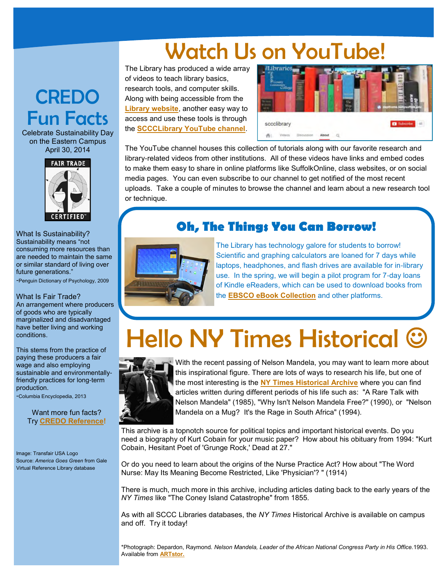### Watch Us on YouTube!

The Library has produced a wide array of videos to teach library basics, research tools, and computer skills. Along with being accessible from the **[Library website](http://libguides.sunysuffolk.edu/tutorialmenu)**, another easy way to access and use these tools is through the **[SCCCLibrary YouTube channel](http://www.youtube.com/user/sccclibrary)**.



The YouTube channel houses this collection of tutorials along with our favorite research and library-related videos from other institutions. All of these videos have links and embed codes to make them easy to share in online platforms like SuffolkOnline, class websites, or on social media pages. You can even subscribe to our channel to get notified of the most recent uploads. Take a couple of minutes to browse the channel and learn about a new research tool or technique.

#### **Oh, The Things You Can Borrow!**



The Library has technology galore for students to borrow! Scientific and graphing calculators are loaned for 7 days while laptops, headphones, and flash drives are available for in-library use. In the spring, we will begin a pilot program for 7-day loans of Kindle eReaders, which can be used to download books from the **[EBSCO eBook Collection](http://lib1.lib.sunysuffolk.edu/login?url=http://search.ebscohost.com/login.aspx?authtype=ip,uid&profile=ehost&defaultdb=nlebk)** and other platforms.

# Hello NY Times Historical



With the recent passing of Nelson Mandela, you may want to learn more about this inspirational figure. There are lots of ways to research his life, but one of the most interesting is the **[NY Times Historical Archive](http://lib1.lib.sunysuffolk.edu/login?url=http://proquest.umi.com/pqdweb?RQT=306&DBId=6861#sform)** where you can find articles written during different periods of his life such as: "A Rare Talk with Nelson Mandela" (1985), "Why Isn't Nelson Mandela Free?" (1990), or "Nelson Mandela on a Mug? It's the Rage in South Africa" (1994).

This archive is a topnotch source for political topics and important historical events. Do you need a biography of Kurt Cobain for your music paper? How about his obituary from 1994: "Kurt Cobain, Hesitant Poet of 'Grunge Rock,' Dead at 27."

Or do you need to learn about the origins of the Nurse Practice Act? How about "The Word Nurse: May Its Meaning Become Restricted, Like 'Physician'? " (1914)

There is much, much more in this archive, including articles dating back to the early years of the *NY Times* like "The Coney Island Catastrophe" from 1855.

As with all SCCC Libraries databases, the *NY Times* Historical Archive is available on campus and off. Try it today!

\*Photograph: Depardon, Raymond. *Nelson Mandela, Leader of the African National Congress Party in His Office.*1993. Available from **[ARTstor.](http://lib1.lib.sunysuffolk.edu/login?url=http://library.artstor.org)** 

### **CREDO** Fun Facts

Celebrate Sustainability Day on the Eastern Campus April 30, 2014



What Is Sustainability? Sustainability means "not consuming more resources than are needed to maintain the same or similar standard of living over future generations."

-Penguin Dictionary of Psychology, 2009

#### What Is Fair Trade?

An arrangement where producers of goods who are typically marginalized and disadvantaged have better living and working conditions.

This stems from the practice of paying these producers a fair wage and also employing sustainable and environmentallyfriendly practices for long-term production.

-Columbia Encyclopedia, 2013

Want more fun facts? Try **[CREDO Reference!](http://lib1.lib.sunysuffolk.edu/login?url=http://www.credoreference.com/home.do)**

Image: Transfair USA Logo Source: *America Goes Green* from Gale Virtual Reference Library database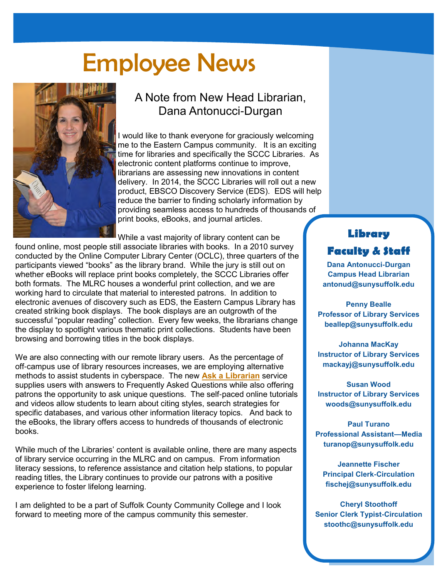## Employee News



### A Note from New Head Librarian, Dana Antonucci-Durgan

I would like to thank everyone for graciously welcoming me to the Eastern Campus community. It is an exciting time for libraries and specifically the SCCC Libraries. As electronic content platforms continue to improve, librarians are assessing new innovations in content delivery. In 2014, the SCCC Libraries will roll out a new product, EBSCO Discovery Service (EDS). EDS will help reduce the barrier to finding scholarly information by providing seamless access to hundreds of thousands of print books, eBooks, and journal articles.

While a vast majority of library content can be

found online, most people still associate libraries with books. In a 2010 survey conducted by the Online Computer Library Center (OCLC), three quarters of the participants viewed "books" as the library brand. While the jury is still out on whether eBooks will replace print books completely, the SCCC Libraries offer both formats. The MLRC houses a wonderful print collection, and we are working hard to circulate that material to interested patrons. In addition to electronic avenues of discovery such as EDS, the Eastern Campus Library has created striking book displays. The book displays are an outgrowth of the successful "popular reading" collection. Every few weeks, the librarians change the display to spotlight various thematic print collections. Students have been browsing and borrowing titles in the book displays.

We are also connecting with our remote library users. As the percentage of off-campus use of library resources increases, we are employing alternative methods to assist students in cyberspace. The new **[Ask a Librarian](http://sunysuffolk.libanswers.com/)** service supplies users with answers to Frequently Asked Questions while also offering patrons the opportunity to ask unique questions. The self-paced online tutorials and videos allow students to learn about citing styles, search strategies for specific databases, and various other information literacy topics. And back to the eBooks, the library offers access to hundreds of thousands of electronic books.

While much of the Libraries' content is available online, there are many aspects of library service occurring in the MLRC and on campus. From information literacy sessions, to reference assistance and citation help stations, to popular reading titles, the Library continues to provide our patrons with a positive experience to foster lifelong learning.

I am delighted to be a part of Suffolk County Community College and I look forward to meeting more of the campus community this semester.

#### **Library Faculty & Staff**

**Dana Antonucci-Durgan Campus Head Librarian antonud@sunysuffolk.edu**

**Penny Bealle Professor of Library Services beallep@sunysuffolk.edu**

**Johanna MacKay Instructor of Library Services mackayj@sunysuffolk.edu**

**Susan Wood Instructor of Library Services woods@sunysuffolk.edu**

**Paul Turano Professional Assistant—Media turanop@sunysuffolk.edu**

**Jeannette Fischer Principal Clerk-Circulation fischej@sunysuffolk.edu**

**Cheryl Stoothoff Senior Clerk Typist-Circulation stoothc@sunysuffolk.edu**